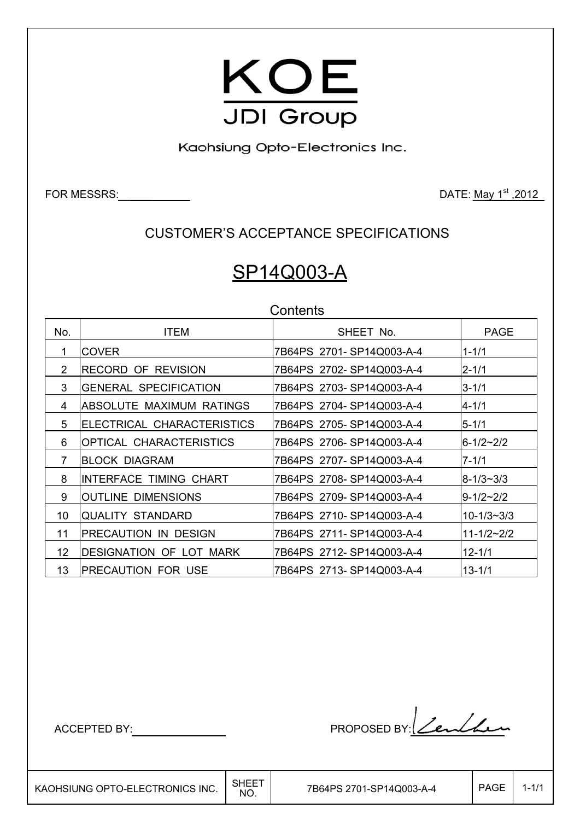

Kaohsiung Opto-Electronics Inc.

FOR MESSRS: DATE: May 1<sup>st</sup>, 2012

CUSTOMER'S ACCEPTANCE SPECIFICATIONS

# SP14Q003-A

**Contents** 

| No.            | <b>ITEM</b>                    | SHEET No.                 | <b>PAGE</b>      |  |  |  |  |
|----------------|--------------------------------|---------------------------|------------------|--|--|--|--|
| 1.             | ICOVER                         | 7B64PS 2701-SP14Q003-A-4  | $1 - 1/1$        |  |  |  |  |
| 2              | <b>RECORD OF REVISION</b>      | 7B64PS 2702-SP14Q003-A-4  | 2-1/1            |  |  |  |  |
| 3              | <b>GENERAL SPECIFICATION</b>   | 7B64PS 2703-SP14Q003-A-4  | $3 - 1/1$        |  |  |  |  |
| 4              | ABSOLUTE MAXIMUM RATINGS       | 7B64PS 2704-SP14Q003-A-4  | 4-1/1            |  |  |  |  |
| 5              | ELECTRICAL CHARACTERISTICS     | 7B64PS 2705-SP14Q003-A-4  | $5 - 1/1$        |  |  |  |  |
| 6              | OPTICAL CHARACTERISTICS        | 7B64PS 2706-SP14Q003-A-4  | $6 - 1/2 - 2/2$  |  |  |  |  |
| $\overline{7}$ | <b>BLOCK DIAGRAM</b>           | 7B64PS 2707-SP14Q003-A-4  | $7 - 1/1$        |  |  |  |  |
| 8              | <b>INTERFACE TIMING CHART</b>  | 7B64PS 2708-SP14Q003-A-4  | $8 - 1/3 - 3/3$  |  |  |  |  |
| 9              | IOUTLINE DIMENSIONS            | 7B64PS 2709-SP14Q003-A-4  | $9 - 1/2 - 2/2$  |  |  |  |  |
| 10             | <b>QUALITY STANDARD</b>        | 7B64PS 2710-SP14Q003-A-4  | $10 - 1/3 - 3/3$ |  |  |  |  |
| 11             | PRECAUTION IN DESIGN           | 7B64PS 2711- SP14Q003-A-4 | $11 - 1/2 - 2/2$ |  |  |  |  |
| 12             | <b>DESIGNATION OF LOT MARK</b> | 7B64PS 2712-SP14Q003-A-4  | $12 - 1/1$       |  |  |  |  |
| 13             | <b>PRECAUTION FOR USE</b>      | 7B64PS 2713-SP14Q003-A-4  | $13 - 1/1$       |  |  |  |  |

ACCEPTED BY: PROPOSED BY: Zenthen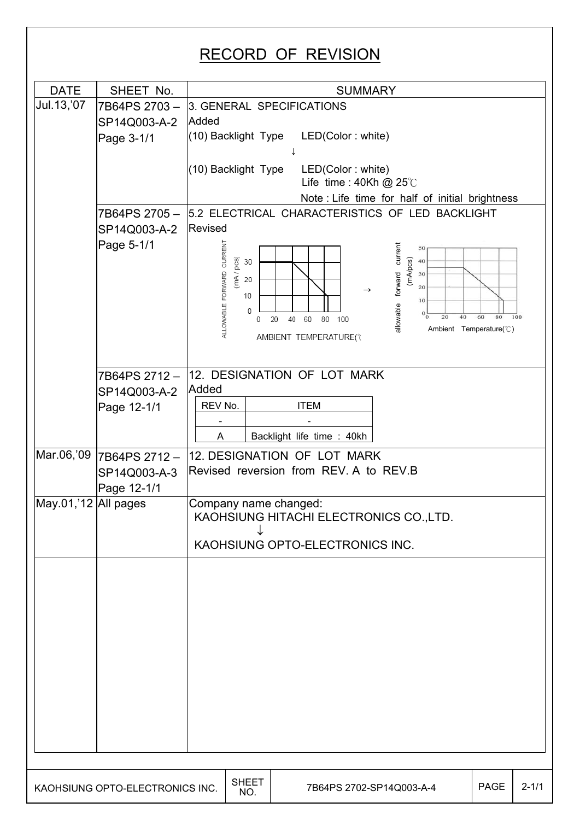#### RECORD OF REVISION DATE SHEET No. 1  $Jul.13, '07$  7B64PS 2703 – 3. GENERAL SPECIFICATIONS SP14Q003-A-2 Added (10) Backlight Type LED(Color : white) Page 3-1/1  $\downarrow$ (10) Backlight Type LED(Color : white) Life time :  $40Kh$  @  $25^{\circ}$ C Note : Life time for half of initial brightness 7B64PS 2705 – 5.2 ELECTRICAL CHARACTERISTICS OF LED BACKLIGHT SP14Q003-A-2 Revised Page 5-1/1 ALLOWABLE FORWARD CURRENT allowable forward current forward current  $50$  $(mA)230$  $\begin{matrix} 0 \\ 2 \\ 0 \end{matrix}$  30  $\widetilde{\underline{\mathfrak{E}}}$  20 20  $\rightarrow$ 10 10 allowable  $\Omega$ 20 40 60 100  $\Omega$ 80 Ambient Temperature(°C) AMBIENT TEMPERATURE(°) 12. DESIGNATION OF LOT MARK 7B64PS 2712 – **Added** SP14Q003-A-2 REV No. | ITEM Page 12-1/1 - - A Backlight life time : 40kh Mar.06,'09 7B64PS 2712 -12. DESIGNATION OF LOT MARK Revised reversion from REV. A to REV.B SP14Q003-A-3 Page 12-1/1  $May.01$ , 12 All pages  $Company$  name changed: KAOHSIUNG HITACHI ELECTRONICS CO.,LTD.  $\downarrow$ KAOHSIUNG OPTO-ELECTRONICS INC. KAOHSIUNG OPTO-ELECTRONICS INC.  $\Big|\begin{array}{c} \text{SHEET} \ \text{NO} \end{array}\Big|$ 7B64PS 2702-SP14Q003-A-4 | PAGE 2-1/1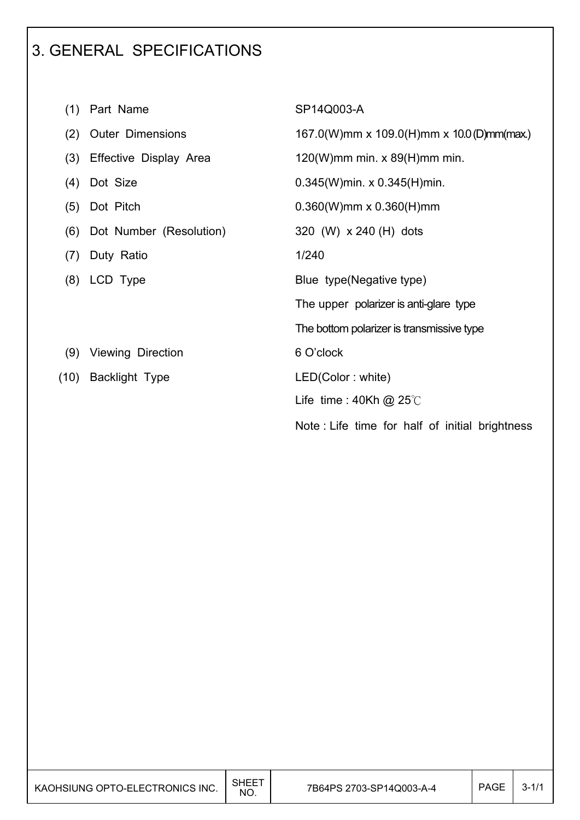# 3. GENERAL SPECIFICATIONS

| (1)  | Part Name                | SP14Q003-A                                     |
|------|--------------------------|------------------------------------------------|
| (2)  | <b>Outer Dimensions</b>  | 167.0(W)mm x 109.0(H)mm x 10.0(D)mm(max.)      |
| (3)  | Effective Display Area   | $120(W)$ mm min. x 89(H)mm min.                |
| (4)  | Dot Size                 | $0.345(W)$ min. x $0.345(H)$ min.              |
| (5)  | Dot Pitch                | $0.360(W)$ mm x $0.360(H)$ mm                  |
| (6)  | Dot Number (Resolution)  | 320 (W) x 240 (H) dots                         |
| (7)  | Duty Ratio               | 1/240                                          |
| (8)  | LCD Type                 | Blue type (Negative type)                      |
|      |                          | The upper polarizer is anti-glare type         |
|      |                          | The bottom polarizer is transmissive type      |
| (9)  | <b>Viewing Direction</b> | 6 O'clock                                      |
| (10) | <b>Backlight Type</b>    | LED(Color: white)                              |
|      |                          | Life time : $40Kh$ @ 25°C                      |
|      |                          | Note: Life time for half of initial brightness |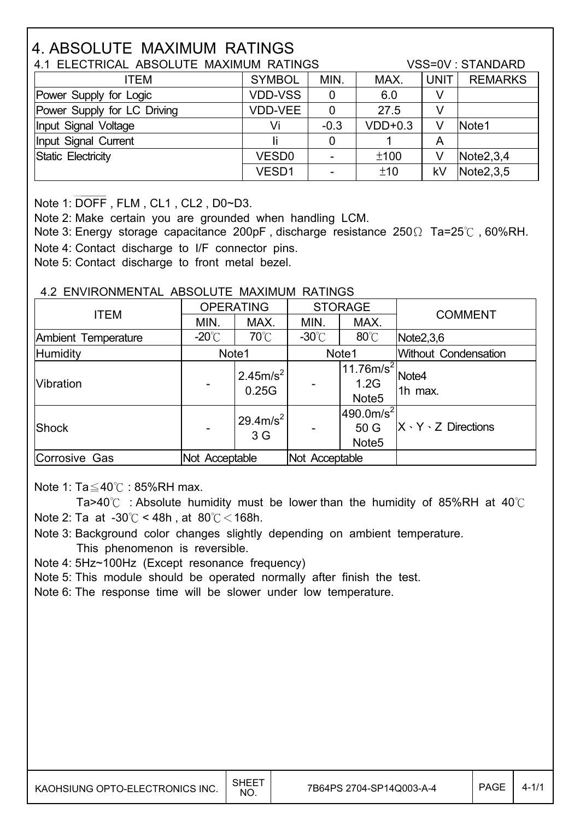# 4. ABSOLUTE MAXIMUM RATINGS

| 4.1 ELECTRICAL ABSOLUTE MAXIMUM RATINGS |                   |             |           |             | VSS=0V : STANDARD |
|-----------------------------------------|-------------------|-------------|-----------|-------------|-------------------|
| ITEM                                    | <b>SYMBOL</b>     | MIN.        | MAX.      | <b>UNIT</b> | <b>REMARKS</b>    |
| Power Supply for Logic                  | <b>VDD-VSS</b>    | $\mathbf 0$ | 6.0       |             |                   |
| Power Supply for LC Driving             | <b>VDD-VEE</b>    | 0           | 27.5      | V           |                   |
| Input Signal Voltage                    | Vi                | $-0.3$      | $VDD+0.3$ | V           | Note1             |
| Input Signal Current                    |                   | 0           |           | Α           |                   |
| Static Electricity                      | VESD <sub>0</sub> |             | ±100      | V           | Note2,3,4         |
|                                         | VESD1             | -           | ±10       | kV          | Note2,3,5         |

Note 1: DOFF , FLM , CL1 , CL2 , D0~D3.

 $\overline{\phantom{a}}$ 

 $\overline{\phantom{a}}$ 

Note 2: Make certain you are grounded when handling LCM.

Note 3: Energy storage capacitance 200pF, discharge resistance 250 $\Omega$  Ta=25°C, 60%RH. Note 4: Contact discharge to I/F connector pins.

Note 5: Contact discharge to front metal bezel.

#### 4.2 ENVIRONMENTAL ABSOLUTE MAXIMUM RATINGS

| <b>ITEM</b>         |                 | <b>OPERATING</b>                      | <b>STORAGE</b>   |                                                     | <b>COMMENT</b>                 |  |
|---------------------|-----------------|---------------------------------------|------------------|-----------------------------------------------------|--------------------------------|--|
|                     | MIN.            | MAX.                                  | MIN.             | MAX.                                                |                                |  |
| Ambient Temperature | $-20^{\circ}$ C | $70^{\circ}$ C                        | -30 $^{\circ}$ C | $80^{\circ}$ C                                      | Note2,3,6                      |  |
| <b>Humidity</b>     | Note1           |                                       |                  | Note1                                               | <b>Without Condensation</b>    |  |
| Vibration           |                 | $2.45m/s^2$<br>0.25G                  |                  | $11.76$ m/s $^{2}$ l.<br>1.2G<br>Note <sub>5</sub>  | Note4<br>1h max.               |  |
| Shock               |                 | $29.4 \text{m/s}^2$<br>3 <sub>G</sub> |                  | 1490.0m/s <sup>2</sup><br>50 G<br>Note <sub>5</sub> | $X \cdot Y \cdot Z$ Directions |  |
| Corrosive Gas       | Not Acceptable  |                                       | Not Acceptable   |                                                     |                                |  |

Note 1:  $Ta \leq 40^{\circ}$  : 85%RH max.

Ta>40 $\degree$  : Absolute humidity must be lower than the humidity of 85%RH at 40 $\degree$ C Note 2: Ta at  $-30^{\circ}$ C < 48h , at  $80^{\circ}$ C < 168h.

 Note 3: Background color changes slightly depending on ambient temperature. This phenomenon is reversible.

Note 4: 5Hz~100Hz (Except resonance frequency)

Note 5: This module should be operated normally after finish the test.

Note 6: The response time will be slower under low temperature.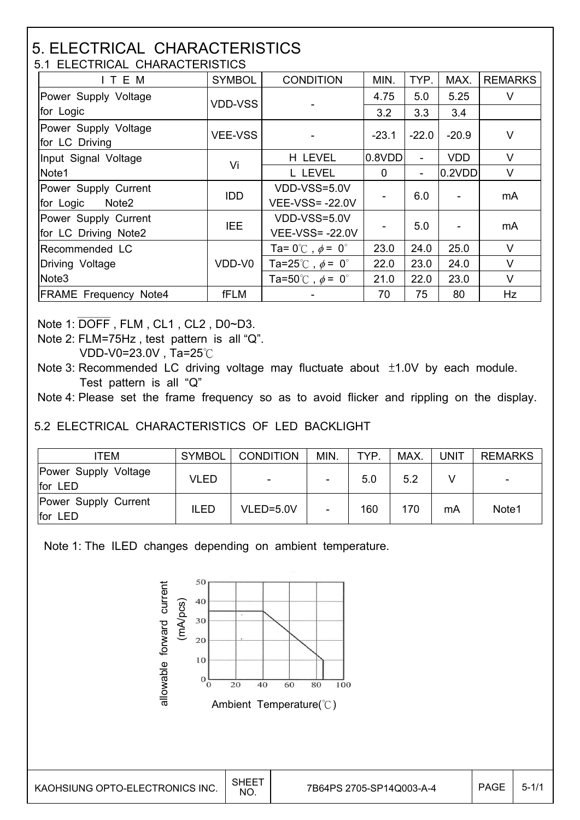#### 5. ELECTRICAL CHARACTERISTICS 5.1 ELECTRICAL CHARACTERISTICS

| ITEM                                         | <b>SYMBOL</b>  | <b>CONDITION</b>                        | MIN.     | TYP.           | MAX.       | <b>REMARKS</b> |  |
|----------------------------------------------|----------------|-----------------------------------------|----------|----------------|------------|----------------|--|
| Power Supply Voltage                         | <b>VDD-VSS</b> |                                         | 4.75     | 5.0            | 5.25       | V              |  |
| for Logic                                    |                |                                         | 3.2      | 3.3            | 3.4        |                |  |
| Power Supply Voltage<br>for LC Driving       | <b>VEE-VSS</b> |                                         | $-23.1$  | $-22.0$        | $-20.9$    | V              |  |
| Input Signal Voltage                         |                | H LEVEL                                 | 0.8VDD   |                | <b>VDD</b> | $\vee$         |  |
| Note1                                        | Vi             | L LEVEL                                 | $\Omega$ | $\blacksquare$ | 0.2VDD     | V              |  |
| Power Supply Current                         | <b>IDD</b>     | VDD-VSS=5.0V                            |          | 6.0            |            | mA             |  |
| for Logic<br>Note2                           |                | <b>VEE-VSS=-22.0V</b>                   |          |                |            |                |  |
| Power Supply Current<br>for LC Driving Note2 | IEE            | VDD-VSS=5.0V<br><b>VEE-VSS=-22.0V</b>   |          | 5.0            |            | mA             |  |
| Recommended LC                               |                | Ta= $0^{\circ}$ C, $\phi$ = $0^{\circ}$ | 23.0     | 24.0           | 25.0       | $\vee$         |  |
| Driving Voltage                              | VDD-V0         | Ta=25°C, $\phi$ = 0°                    | 22.0     | 23.0           | 24.0       | V              |  |
| Note <sub>3</sub>                            |                | Ta=50°C, $\phi$ = 0°                    | 21.0     | 22.0           | 23.0       | V              |  |
| <b>FRAME Frequency Note4</b>                 | fFLM           |                                         | 70       | 75             | 80         | Hz             |  |

Note 1: DOFF , FLM , CL1 , CL2 , D0~D3.

Note 2: FLM=75Hz , test pattern is all "Q".

VDD-V0=23.0V, Ta=25 $°C$ 

Note 3: Recommended LC driving voltage may fluctuate about  $±1.0V$  by each module. Test pattern is all "Q"

Note 4: Please set the frame frequency so as to avoid flicker and rippling on the display.

5.2 ELECTRICAL CHARACTERISTICS OF LED BACKLIGHT

| <b>TEM</b>                      | <b>SYMBOL</b> | <b>CONDITION</b>         | MIN.                     | <b>TYP</b> | <b>MAX</b> | <b>UNIT</b> | <b>REMARKS</b> |
|---------------------------------|---------------|--------------------------|--------------------------|------------|------------|-------------|----------------|
| Power Supply Voltage<br>for LED | <b>VLED</b>   | $\overline{\phantom{a}}$ |                          | 5.0        | 5.2        |             | -              |
| Power Supply Current<br>for LED | <b>ILED</b>   | $VLED = 5.0V$            | $\overline{\phantom{0}}$ | 160        | 170        | mA          | Note1          |

Note 1: The ILED changes depending on ambient temperature.

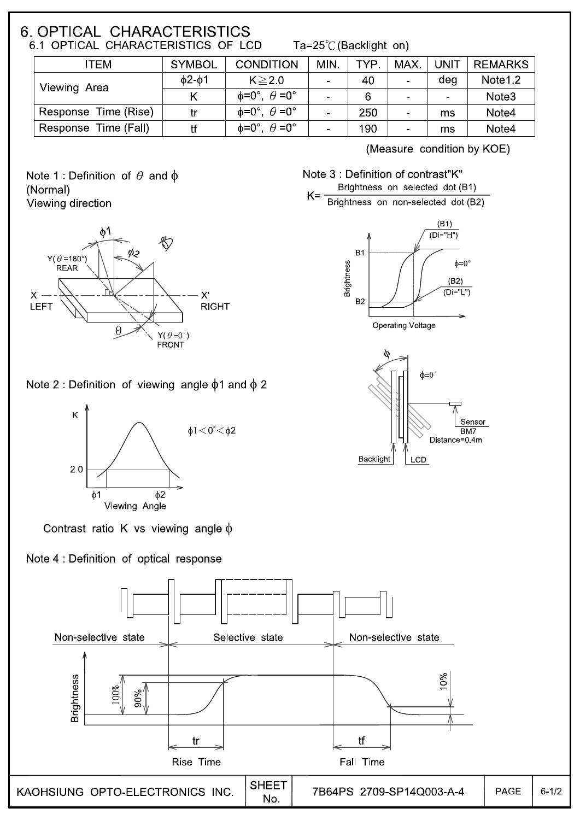## 6. OPTICAL CHARACTERISTICS 6.1 OPTICAL CHARACTERISTICS OF LCD

Ta=25 $\degree$ C (Backlight on)

| ITEM                 | <b>SYMBOL</b> | <b>CONDITION</b>                      | MIN.           | TYP. | MAX.           | <b>UNIT</b>    | <b>REMARKS</b>    |
|----------------------|---------------|---------------------------------------|----------------|------|----------------|----------------|-------------------|
| Viewing Area         | $02 - 01$     | $K \geq 2.0$                          | $\blacksquare$ | 40   | $\blacksquare$ | deg            | Note 1.2          |
|                      |               | $\phi = 0^\circ$ , $\theta = 0^\circ$ | $\blacksquare$ | 6    | $\blacksquare$ | $\blacksquare$ | Note <sub>3</sub> |
| Response Time (Rise) | tr            | $\phi = 0^\circ$ , $\theta = 0^\circ$ |                | 250  | $\blacksquare$ | ms             | Note4             |
| Response Time (Fall) | tf            | $\phi = 0^\circ$ , $\theta = 0^\circ$ | ۰              | 190  | ۰              | ms             | Note4             |

Note 1: Definition of  $\theta$  and  $\phi$ (Normal) Viewing direction



# **RIGHT**

(Measure condition by KOE)

Note 3 : Definition of contrast"K" Brightness on selected dot (B1)  $K =$ 

Brightness on non-selected dot (B2)





Note 2 : Definition of viewing angle  $\phi$ 1 and  $\phi$  2



Contrast ratio K vs viewing angle  $\phi$ 

## Note 4 : Definition of optical response

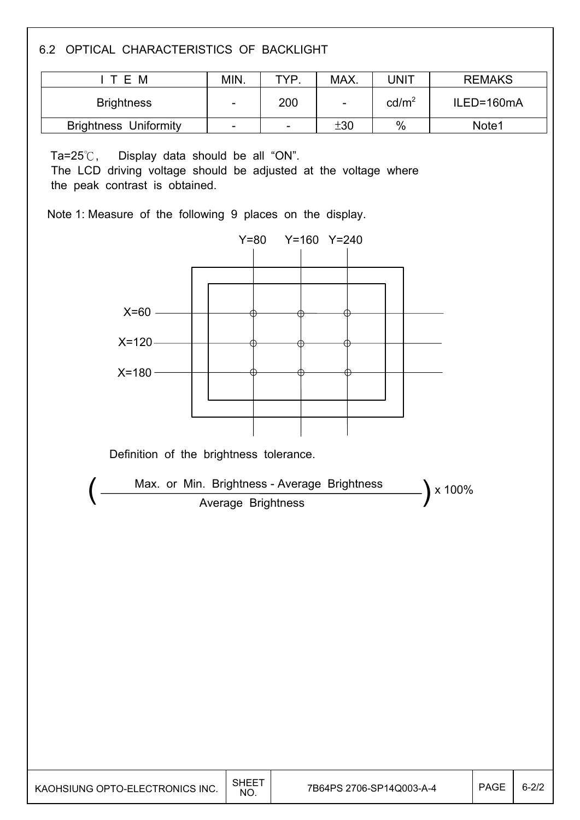6.2 OPTICAL CHARACTERISTICS OF BACKLIGHT

| T E M                        | MIN.                     | TYP                      | MAX. | JNIT              | <b>REMAKS</b>     |
|------------------------------|--------------------------|--------------------------|------|-------------------|-------------------|
| <b>Brightness</b>            | $\overline{\phantom{a}}$ | 200                      |      | cd/m <sup>2</sup> | ILED=160mA        |
| <b>Brightness Uniformity</b> | $\overline{\phantom{a}}$ | $\overline{\phantom{a}}$ | ±30  | $\%$              | Note <sub>1</sub> |

Ta= $25^{\circ}$ C, Display data should be all "ON".

 $\overline{\phantom{a}}$ 

The LCD driving voltage should be adjusted at the voltage where the peak contrast is obtained.

Note 1: Measure of the following 9 places on the display.

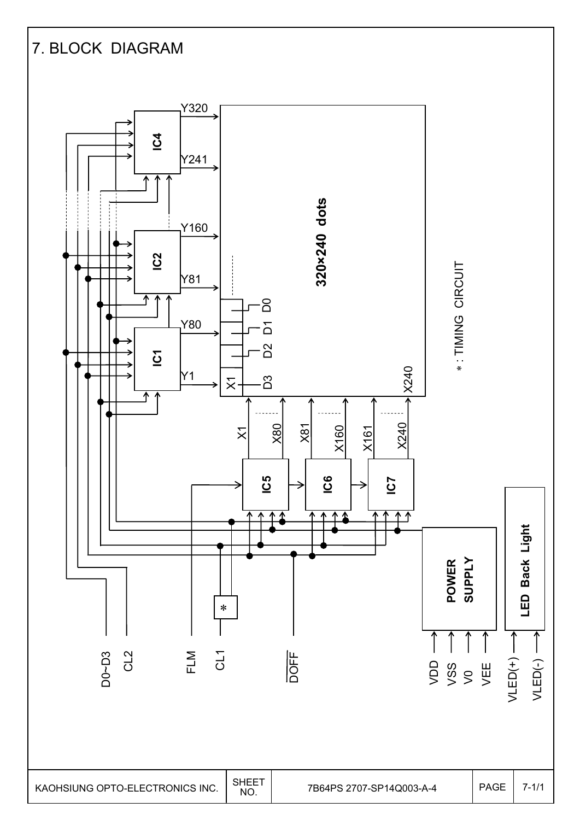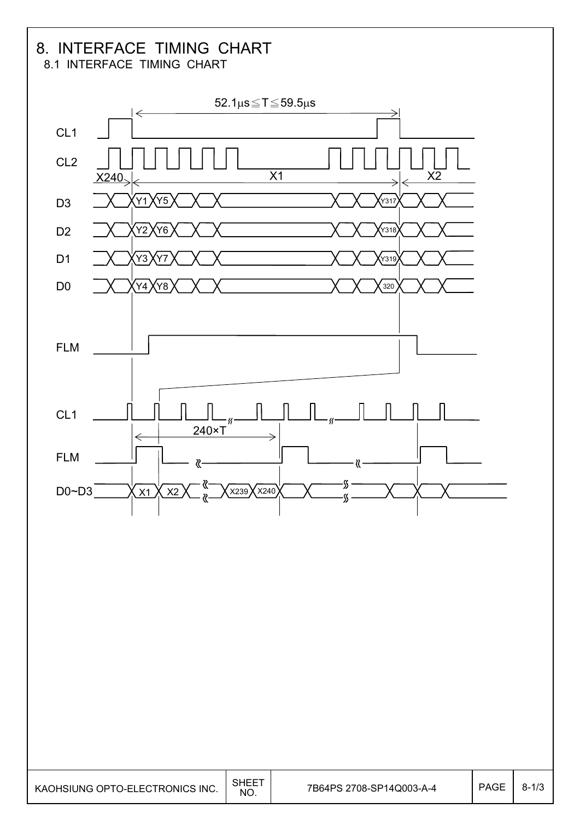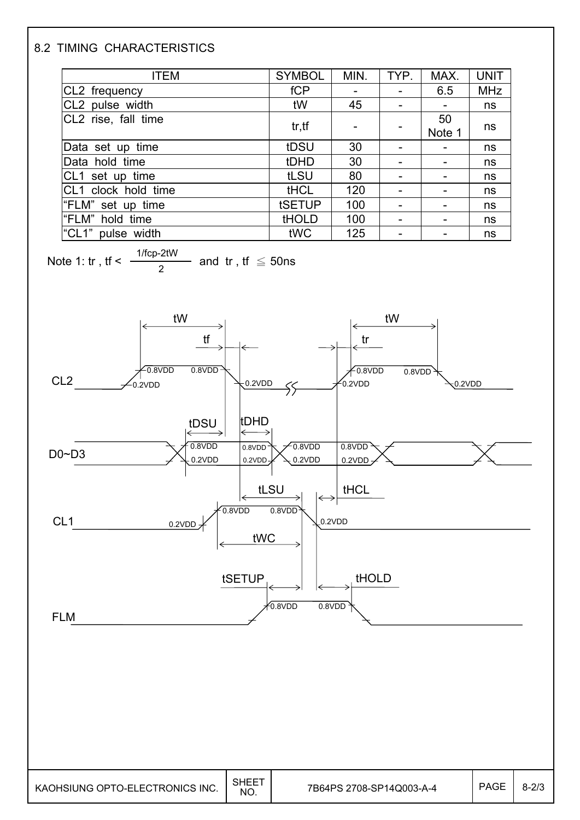## 8.2 TIMING CHARACTERISTICS

 $\overline{\phantom{a}}$ 

| <b>ITEM</b>             | <b>SYMBOL</b> | MIN. | TYP.                     | MAX.   | <b>UNIT</b> |
|-------------------------|---------------|------|--------------------------|--------|-------------|
| CL2 frequency           | fCP           |      |                          | 6.5    | <b>MHz</b>  |
| CL2 pulse width         | tW            | 45   | $\overline{\phantom{a}}$ |        | ns          |
| CL2 rise, fall time     | tr, tf        |      |                          | 50     |             |
|                         |               |      |                          | Note 1 | ns          |
| Data set up time        | tDSU          | 30   | $\overline{\phantom{0}}$ |        | ns          |
| Data hold time          | tDHD          | 30   | $\overline{\phantom{a}}$ |        | ns          |
| CL1 set up time         | tLSU          | 80   |                          |        | ns          |
| CL1 clock hold time     | <b>tHCL</b>   | 120  |                          |        | ns          |
| "FLM" set up time       | tSETUP        | 100  |                          |        | ns          |
| "FLM" hold time         | <b>tHOLD</b>  | 100  |                          |        | ns          |
| " $CL1"$<br>pulse width | tWC           | 125  | $\overline{\phantom{a}}$ |        | ns          |

Note 1: tr, tf <  $\frac{1/fcp-2tW}{2}$  and tr, tf  $\leq$  50ns 2



KAOHSIUNG OPTO-ELECTRONICS INC.  $\Big|\begin{array}{c} \text{SHEET} \ \text{NO} \end{array}\Big|$ 7B64PS 2708-SP14Q003-A-4 | PAGE | 8-2/3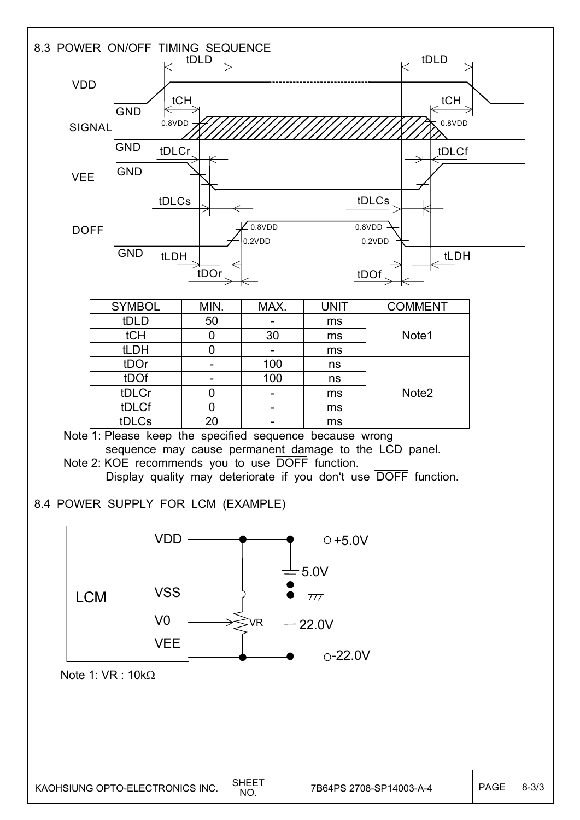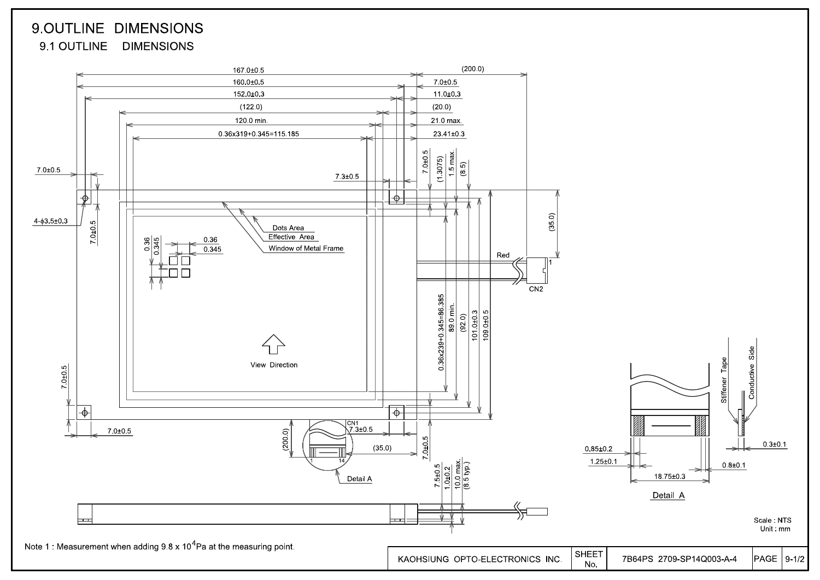# 9.OUTLINE DIMENSIONS 9.1 OUTLINE DIMENSIONS

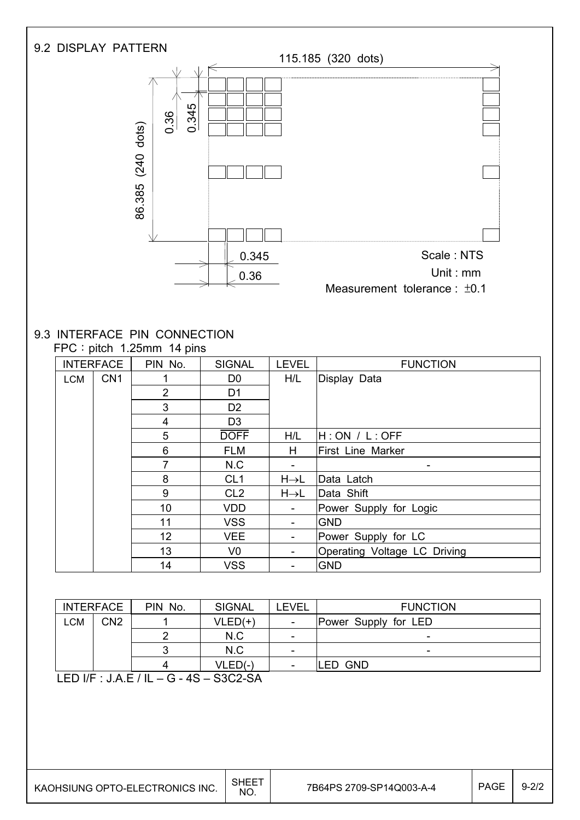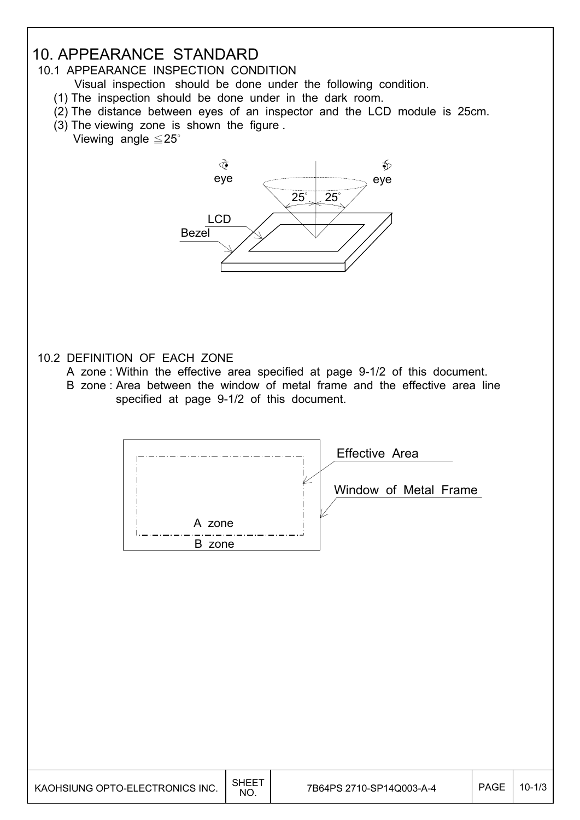# 10. APPEARANCE STANDARD

## 10.1 APPEARANCE INSPECTION CONDITION

- Visual inspection should be done under the following condition.
- (1) The inspection should be done under in the dark room.
- (2) The distance between eyes of an inspector and the LCD module is 25cm.
- (3) The viewing zone is shown the figure .
	- Viewing angle  $\leq 25^\circ$



## 10.2 DEFINITION OF EACH ZONE

- A zone : Within the effective area specified at page 9-1/2 of this document.
- B zone : Area between the window of metal frame and the effective area line specified at page 9-1/2 of this document.



| KAOHSIUNG OPTO-ELECTRONICS INC. | SHEET<br>NO. | 7B64PS 2710-SP14Q003-A-4 | <b>PAGE</b> | $10 - 1/3$ |
|---------------------------------|--------------|--------------------------|-------------|------------|
|---------------------------------|--------------|--------------------------|-------------|------------|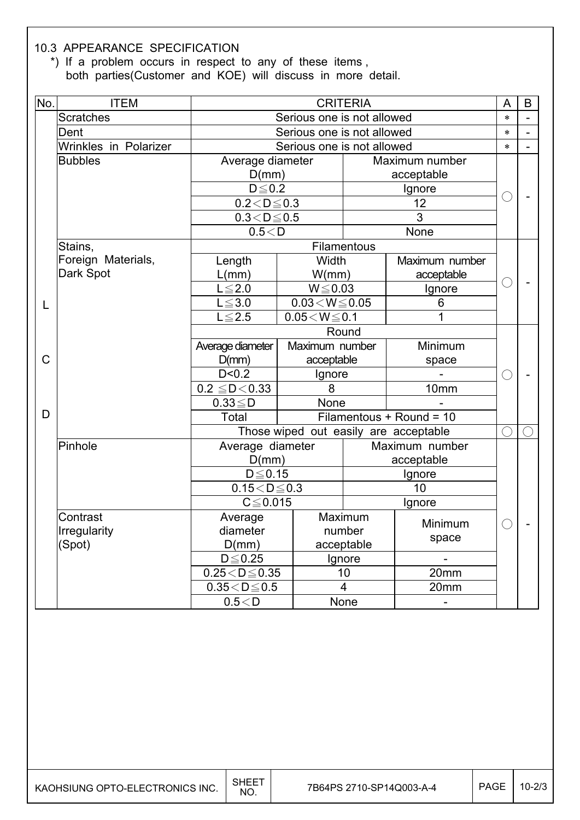#### 10.3 APPEARANCE SPECIFICATION

 \*) If a problem occurs in respect to any of these items , both parties(Customer and KOE) will discuss in more detail.

| No. | <b>ITEM</b>           | <b>CRITERIA</b>            |                                       |                |                          |        | B |
|-----|-----------------------|----------------------------|---------------------------------------|----------------|--------------------------|--------|---|
|     | <b>Scratches</b>      | Serious one is not allowed |                                       |                |                          | $\ast$ |   |
|     | Dent                  |                            | Serious one is not allowed            |                |                          |        |   |
|     | Wrinkles in Polarizer |                            | Serious one is not allowed            |                |                          |        |   |
|     | <b>Bubbles</b>        | Average diameter           |                                       |                | Maximum number           |        |   |
|     |                       | D(mm)                      |                                       |                | acceptable               |        |   |
|     |                       | $D \leq 0.2$               |                                       |                | Ignore                   |        |   |
|     |                       | $0.2 < D \le 0.3$          |                                       |                | 12                       |        |   |
|     |                       | $0.3 < D \le 0.5$          |                                       |                | 3                        |        |   |
|     |                       | 0.5 < D                    |                                       |                | None                     |        |   |
|     | Stains,               |                            |                                       | Filamentous    |                          |        |   |
|     | Foreign Materials,    | Length                     | Width                                 |                | Maximum number           |        |   |
|     | Dark Spot             | L(mm)                      | W/mm)                                 |                | acceptable               |        |   |
|     |                       | $L \leq 2.0$               | $W \le 0.03$                          |                | Ignore                   | ◯      |   |
| L   |                       | $L \le 3.0$                | $0.03\!<\!W\!\leq\!0.05$              |                | 6                        |        |   |
|     |                       | $L \leq 2.5$               | $0.05\!<\!W\!\leq\!0.1$               |                |                          |        |   |
|     |                       |                            | Round                                 |                |                          |        |   |
|     |                       | Average diameter           | Maximum number                        |                | Minimum                  |        |   |
| С   |                       | D(mm)                      | acceptable                            |                | space                    |        |   |
|     |                       | D < 0.2                    | Ignore                                |                |                          | $(\ )$ |   |
|     |                       | $0.2 \leq D < 0.33$        | 8                                     |                | 10 <sub>mm</sub>         |        |   |
|     |                       | $0.33 \leq D$              | None                                  |                |                          |        |   |
| D   |                       | Total                      |                                       |                | Filamentous + Round = 10 |        |   |
|     |                       |                            | Those wiped out easily are acceptable |                |                          | ◯      |   |
|     | Pinhole               | Average diameter           |                                       |                | Maximum number           |        |   |
|     |                       | D(mm)                      |                                       |                | acceptable               |        |   |
|     |                       | $D \leq 0.15$              |                                       |                | Ignore                   |        |   |
|     |                       | $0.15 < D \le 0.3$         |                                       |                | 10                       |        |   |
|     |                       | $C \leq 0.015$             |                                       |                | Ignore                   |        |   |
|     | Contrast              | Average<br>Maximum         |                                       | Minimum        |                          |        |   |
|     | Irregularity          | diameter                   | number<br>space                       |                |                          |        |   |
|     | (Spot)                | D(mm)                      |                                       | acceptable     |                          |        |   |
|     |                       | $D \leq 0.25$              |                                       | Ignore         |                          |        |   |
|     |                       | $0.25 < D \le 0.35$        |                                       | 10             | 20mm                     |        |   |
|     |                       | $0.35 < D \le 0.5$         |                                       | $\overline{4}$ | 20mm                     |        |   |
|     |                       | 0.5 < D                    |                                       | None           | $\overline{\phantom{0}}$ |        |   |

 $\overline{\phantom{a}}$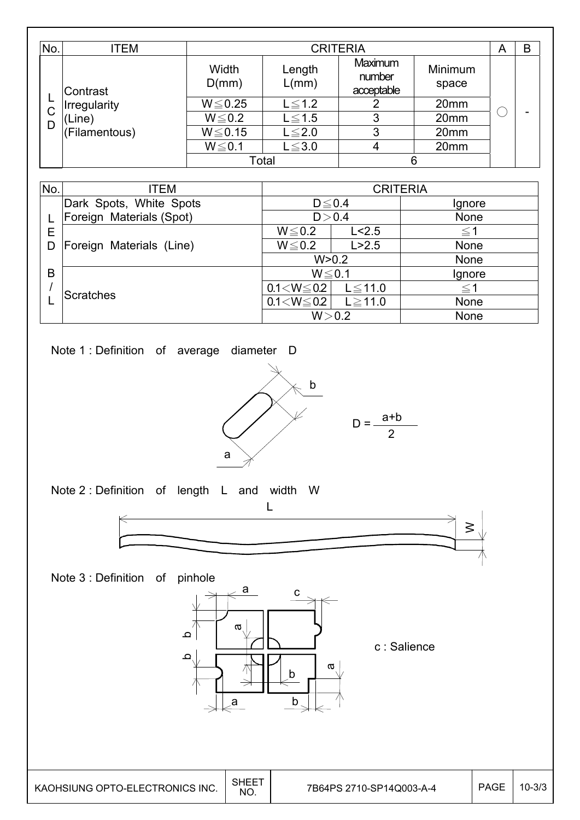| No.    | <b>ITEM</b>                                         |                | <b>CRITERIA</b> |                                 |                  |      |   |  |  |
|--------|-----------------------------------------------------|----------------|-----------------|---------------------------------|------------------|------|---|--|--|
|        | Contrast<br>Irregularity<br>'Line)<br>(Filamentous) | Width<br>D(mm) | Length<br>L/mm) | Maximum<br>number<br>acceptable | Minimum<br>space |      |   |  |  |
| ┕      |                                                     | $W \le 0.25$   | $L \leq 1.2$    |                                 | 20mm             |      |   |  |  |
| C<br>D |                                                     | $W \le 0.2$    | $L \leq 1.5$    | 3                               | 20mm             |      | - |  |  |
|        |                                                     |                | $W \le 0.15$    | $L \leq 2.0$                    | 3                | 20mm |   |  |  |
|        |                                                     | $W \le 0.1$    | $L \leq 3.0$    | 4                               | 20mm             |      |   |  |  |
|        |                                                     |                | Total           |                                 | 6                |      |   |  |  |

| No.    | ITEM                     | <b>CRITERIA</b>        |              |             |
|--------|--------------------------|------------------------|--------------|-------------|
|        | Dark Spots, White Spots  | $D \le 0.4$<br>D > 0.4 |              | Ignore      |
|        | Foreign Materials (Spot) |                        |              | None        |
| Е<br>D | Foreign Materials (Line) | $W \le 0.2$            | L < 2.5      | $\leq$ 1    |
|        |                          | $W \le 0.2$            | L > 2.5      | <b>None</b> |
|        |                          | W > 0.2                |              | <b>None</b> |
| B      | <b>Scratches</b>         | $W \le 0.1$            |              | Ignore      |
|        |                          | $0.1 < W \le 0.2$      | $L \le 11.0$ | $\leq$ 1    |
|        |                          | $0.1 < W \le 0.2$      | $L \ge 11.0$ | <b>None</b> |
|        |                          | W > 0.2                |              | None        |

Note 1 : Definition of average diameter D



Note 2 : Definition of length L and width W



Note 3 : Definition of pinhole



c : Salience

2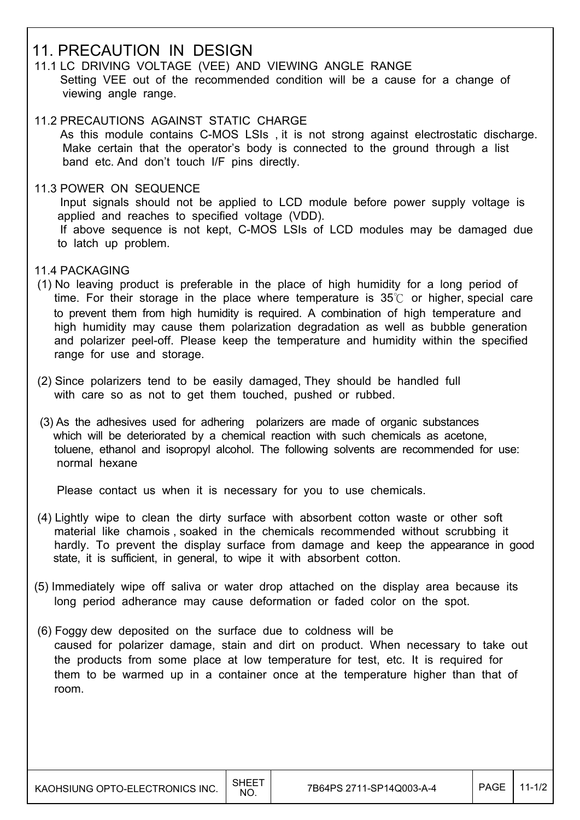# 11. PRECAUTION IN DESIGN

- 11.1 LC DRIVING VOLTAGE (VEE) AND VIEWING ANGLE RANGE Setting VEE out of the recommended condition will be a cause for a change of viewing angle range.
- 11.2 PRECAUTIONS AGAINST STATIC CHARGE As this module contains C-MOS LSIs , it is not strong against electrostatic discharge. Make certain that the operator's body is connected to the ground through a list band etc. And don't touch I/F pins directly.
- 11.3 POWER ON SEQUENCE

 Input signals should not be applied to LCD module before power supply voltage is applied and reaches to specified voltage (VDD). If above sequence is not kept, C-MOS LSIs of LCD modules may be damaged due to latch up problem.

- 11.4 PACKAGING
- (1) No leaving product is preferable in the place of high humidity for a long period of time. For their storage in the place where temperature is  $35^{\circ}$  or higher, special care to prevent them from high humidity is required. A combination of high temperature and high humidity may cause them polarization degradation as well as bubble generation and polarizer peel-off. Please keep the temperature and humidity within the specified range for use and storage.
- (2) Since polarizers tend to be easily damaged, They should be handled full with care so as not to get them touched, pushed or rubbed.
- (3) As the adhesives used for adhering polarizers are made of organic substances which will be deteriorated by a chemical reaction with such chemicals as acetone, toluene, ethanol and isopropyl alcohol. The following solvents are recommended for use: normal hexane

Please contact us when it is necessary for you to use chemicals.

- (4) Lightly wipe to clean the dirty surface with absorbent cotton waste or other soft material like chamois , soaked in the chemicals recommended without scrubbing it hardly. To prevent the display surface from damage and keep the appearance in good state, it is sufficient, in general, to wipe it with absorbent cotton.
- (5) Immediately wipe off saliva or water drop attached on the display area because its long period adherance may cause deformation or faded color on the spot.
- (6) Foggy dew deposited on the surface due to coldness will be caused for polarizer damage, stain and dirt on product. When necessary to take out the products from some place at low temperature for test, etc. It is required for them to be warmed up in a container once at the temperature higher than that of room.

 $\overline{\phantom{a}}$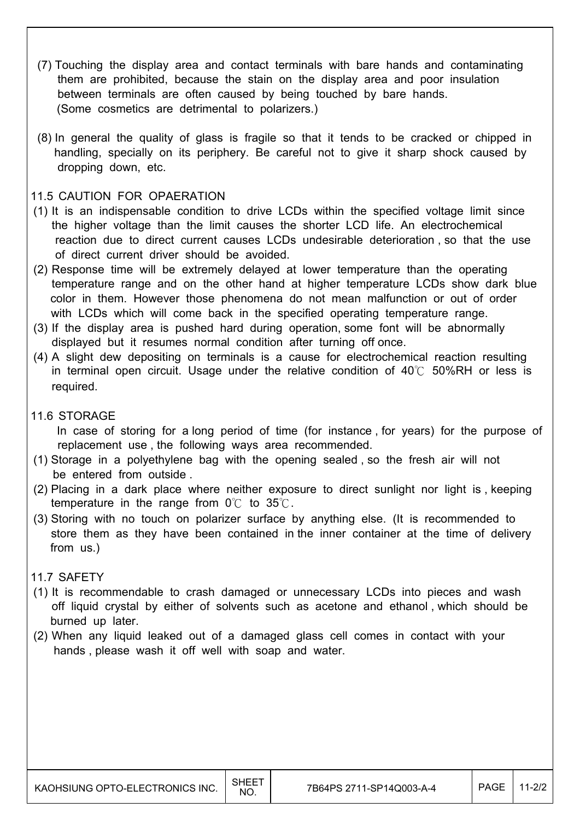- (7) Touching the display area and contact terminals with bare hands and contaminating them are prohibited, because the stain on the display area and poor insulation between terminals are often caused by being touched by bare hands. (Some cosmetics are detrimental to polarizers.)
- (8) In general the quality of glass is fragile so that it tends to be cracked or chipped in handling, specially on its periphery. Be careful not to give it sharp shock caused by dropping down, etc.

#### 11.5 CAUTION FOR OPAERATION

- (1) It is an indispensable condition to drive LCDs within the specified voltage limit since the higher voltage than the limit causes the shorter LCD life. An electrochemical reaction due to direct current causes LCDs undesirable deterioration , so that the use of direct current driver should be avoided.
- (2) Response time will be extremely delayed at lower temperature than the operating temperature range and on the other hand at higher temperature LCDs show dark blue color in them. However those phenomena do not mean malfunction or out of order with LCDs which will come back in the specified operating temperature range.
- (3) If the display area is pushed hard during operation, some font will be abnormally displayed but it resumes normal condition after turning off once.
- (4) A slight dew depositing on terminals is a cause for electrochemical reaction resulting in terminal open circuit. Usage under the relative condition of  $40^{\circ}$  50%RH or less is required.
- 11.6 STORAGE

 In case of storing for a long period of time (for instance , for years) for the purpose of replacement use , the following ways area recommended.

- (1) Storage in a polyethylene bag with the opening sealed , so the fresh air will not be entered from outside .
- (2) Placing in a dark place where neither exposure to direct sunlight nor light is , keeping temperature in the range from  $0^{\circ}$  to  $35^{\circ}$ .
- (3) Storing with no touch on polarizer surface by anything else. (It is recommended to store them as they have been contained in the inner container at the time of delivery from us.)

#### 11.7 SAFETY

- (1) It is recommendable to crash damaged or unnecessary LCDs into pieces and wash off liquid crystal by either of solvents such as acetone and ethanol , which should be burned up later.
- (2) When any liquid leaked out of a damaged glass cell comes in contact with your hands , please wash it off well with soap and water.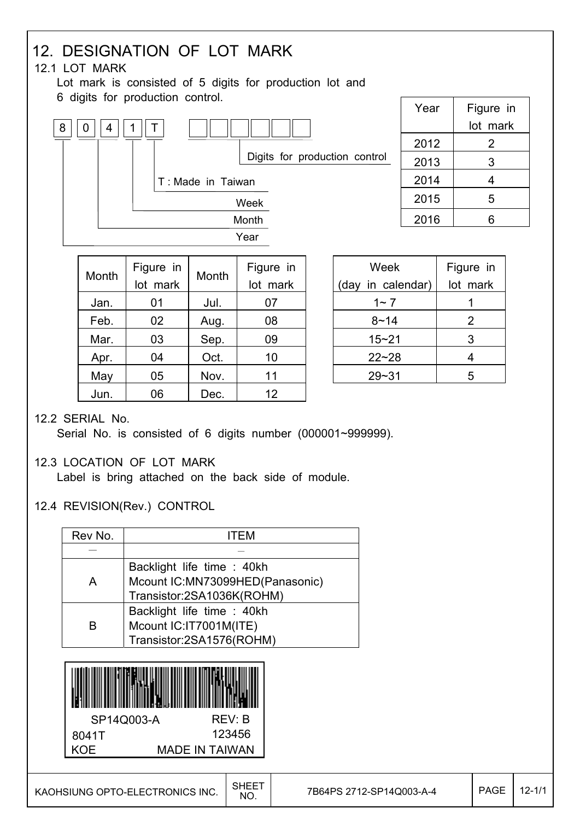#### 12. DESIGNATION OF LOT MARK 12.1 LOT MARK Lot mark is consisted of 5 digits for production lot and 6 digits for production control. Week (day in calendar) Figure in lot mark Month Figure in lot mark Month Figure in lot mark Year | Figure in lot mark  $2012$  2 2013 3  $2014$  4 2015 5  $2016$  6  $8 || 0 || 4 || 1$ Year Month Week T Digits for production control T : Made in Taiwan

| Jan. | 01 | Jul. | 07 |
|------|----|------|----|
| Feb. | 02 | Aug. | 08 |
| Mar. | 03 | Sep. | 09 |
| Apr. | 04 | Oct. | 10 |
| May  | 05 | Nov. | 11 |
| Jun. | 06 | Dec. | 12 |
|      |    |      |    |

| Week              | Figure in |  |
|-------------------|-----------|--|
| (day in calendar) | lot mark  |  |
| $1 - 7$           |           |  |
| 8~14              | 2         |  |
| $15 - 21$         | 3         |  |
| $22 - 28$         | 4         |  |
| $29 - 31$         | 5         |  |

#### 12.2 SERIAL No.

Serial No. is consisted of 6 digits number (000001~999999).

## 12.3 LOCATION OF LOT MARK

Label is bring attached on the back side of module.

## 12.4 REVISION(Rev.) CONTROL

| Rev No. | ITFM                                                          |  |  |  |
|---------|---------------------------------------------------------------|--|--|--|
|         |                                                               |  |  |  |
| A       | Backlight life time : 40kh<br>Mcount IC:MN73099HED(Panasonic) |  |  |  |
|         | Transistor:2SA1036K(ROHM)                                     |  |  |  |
|         | Backlight life time : 40kh                                    |  |  |  |
| B       | Mcount IC:IT7001M(ITE)                                        |  |  |  |
|         | Transistor:2SA1576(ROHM)                                      |  |  |  |
|         |                                                               |  |  |  |